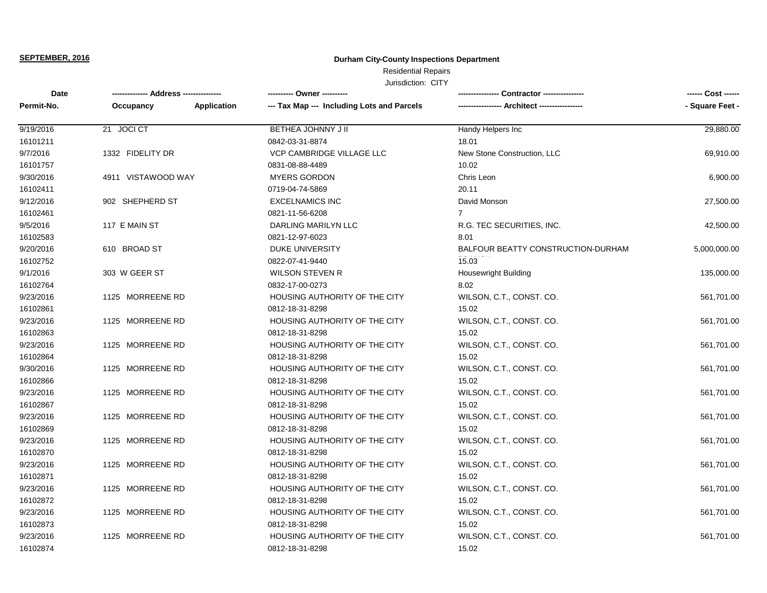# **Durham City-County Inspections Department**

# Residential Repairs

| Date       |                    |             | ---------- Owner ----------                | Contractor ----------------        | ------ Cost ------ |
|------------|--------------------|-------------|--------------------------------------------|------------------------------------|--------------------|
| Permit-No. | Occupancy          | Application | --- Tax Map --- Including Lots and Parcels |                                    | - Square Feet -    |
| 9/19/2016  | 21 JOCI CT         |             | BETHEA JOHNNY J II                         | Handy Helpers Inc                  | 29,880.00          |
| 16101211   |                    |             | 0842-03-31-8874                            | 18.01                              |                    |
| 9/7/2016   | 1332 FIDELITY DR   |             | <b>VCP CAMBRIDGE VILLAGE LLC</b>           | New Stone Construction, LLC        | 69,910.00          |
| 16101757   |                    |             | 0831-08-88-4489                            | 10.02                              |                    |
| 9/30/2016  | 4911 VISTAWOOD WAY |             | <b>MYERS GORDON</b>                        | Chris Leon                         | 6,900.00           |
| 16102411   |                    |             | 0719-04-74-5869                            | 20.11                              |                    |
| 9/12/2016  | 902 SHEPHERD ST    |             | <b>EXCELNAMICS INC</b>                     | David Monson                       | 27,500.00          |
| 16102461   |                    |             | 0821-11-56-6208                            | $\overline{7}$                     |                    |
| 9/5/2016   | 117 E MAIN ST      |             | DARLING MARILYN LLC                        | R.G. TEC SECURITIES, INC.          | 42,500.00          |
| 16102583   |                    |             | 0821-12-97-6023                            | 8.01                               |                    |
| 9/20/2016  | 610 BROAD ST       |             | <b>DUKE UNIVERSITY</b>                     | BALFOUR BEATTY CONSTRUCTION-DURHAM | 5,000,000.00       |
| 16102752   |                    |             | 0822-07-41-9440                            | 15.03                              |                    |
| 9/1/2016   | 303 W GEER ST      |             | <b>WILSON STEVEN R</b>                     | <b>Housewright Building</b>        | 135,000.00         |
| 16102764   |                    |             | 0832-17-00-0273                            | 8.02                               |                    |
| 9/23/2016  | 1125 MORREENE RD   |             | HOUSING AUTHORITY OF THE CITY              | WILSON, C.T., CONST. CO.           | 561,701.00         |
| 16102861   |                    |             | 0812-18-31-8298                            | 15.02                              |                    |
| 9/23/2016  | 1125 MORREENE RD   |             | HOUSING AUTHORITY OF THE CITY              | WILSON, C.T., CONST. CO.           | 561,701.00         |
| 16102863   |                    |             | 0812-18-31-8298                            | 15.02                              |                    |
| 9/23/2016  | 1125 MORREENE RD   |             | HOUSING AUTHORITY OF THE CITY              | WILSON, C.T., CONST. CO.           | 561,701.00         |
| 16102864   |                    |             | 0812-18-31-8298                            | 15.02                              |                    |
| 9/30/2016  | 1125 MORREENE RD   |             | HOUSING AUTHORITY OF THE CITY              | WILSON, C.T., CONST. CO.           | 561,701.00         |
| 16102866   |                    |             | 0812-18-31-8298                            | 15.02                              |                    |
| 9/23/2016  | 1125 MORREENE RD   |             | HOUSING AUTHORITY OF THE CITY              | WILSON, C.T., CONST. CO.           | 561,701.00         |
| 16102867   |                    |             | 0812-18-31-8298                            | 15.02                              |                    |
| 9/23/2016  | 1125 MORREENE RD   |             | HOUSING AUTHORITY OF THE CITY              | WILSON, C.T., CONST. CO.           | 561,701.00         |
| 16102869   |                    |             | 0812-18-31-8298                            | 15.02                              |                    |
| 9/23/2016  | 1125 MORREENE RD   |             | HOUSING AUTHORITY OF THE CITY              | WILSON, C.T., CONST. CO.           | 561,701.00         |
| 16102870   |                    |             | 0812-18-31-8298                            | 15.02                              |                    |
| 9/23/2016  | 1125 MORREENE RD   |             | HOUSING AUTHORITY OF THE CITY              | WILSON, C.T., CONST. CO.           | 561,701.00         |
| 16102871   |                    |             | 0812-18-31-8298                            | 15.02                              |                    |
| 9/23/2016  | 1125 MORREENE RD   |             | HOUSING AUTHORITY OF THE CITY              | WILSON, C.T., CONST. CO.           | 561,701.00         |
| 16102872   |                    |             | 0812-18-31-8298                            | 15.02                              |                    |
| 9/23/2016  | 1125 MORREENE RD   |             | HOUSING AUTHORITY OF THE CITY              | WILSON, C.T., CONST. CO.           | 561,701.00         |
| 16102873   |                    |             | 0812-18-31-8298                            | 15.02                              |                    |
| 9/23/2016  | 1125 MORREENE RD   |             | HOUSING AUTHORITY OF THE CITY              | WILSON, C.T., CONST. CO.           | 561,701.00         |
| 16102874   |                    |             | 0812-18-31-8298                            | 15.02                              |                    |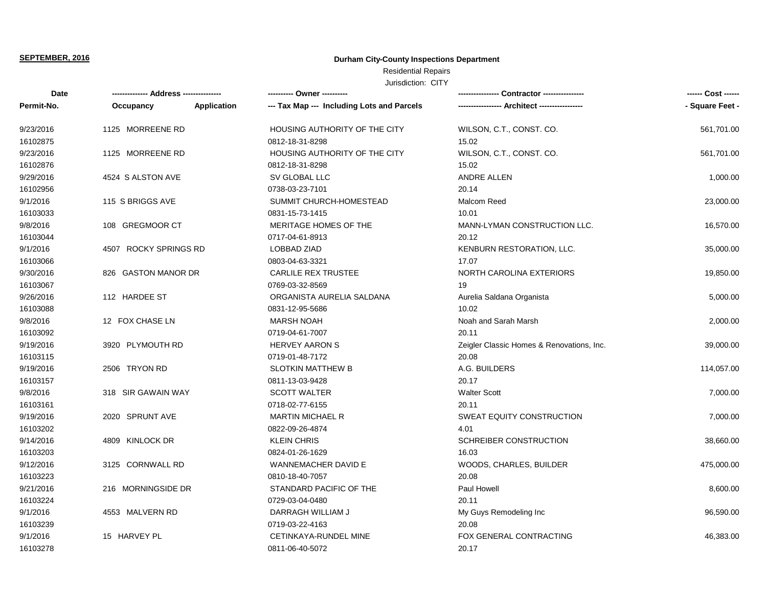# **Durham City-County Inspections Department**

# Residential Repairs

| Date       | ------------- Address --------------- |             | ---------- Owner ----------                | Contractor ---------------<br>---------------- |                 |
|------------|---------------------------------------|-------------|--------------------------------------------|------------------------------------------------|-----------------|
| Permit-No. | Occupancy                             | Application | --- Tax Map --- Including Lots and Parcels | --- Architect -----------                      | - Square Feet - |
| 9/23/2016  | 1125 MORREENE RD                      |             | HOUSING AUTHORITY OF THE CITY              | WILSON, C.T., CONST. CO.                       | 561,701.00      |
| 16102875   |                                       |             | 0812-18-31-8298                            | 15.02                                          |                 |
| 9/23/2016  | 1125 MORREENE RD                      |             | HOUSING AUTHORITY OF THE CITY              | WILSON, C.T., CONST. CO.                       | 561,701.00      |
| 16102876   |                                       |             | 0812-18-31-8298                            | 15.02                                          |                 |
| 9/29/2016  | 4524 S ALSTON AVE                     |             | SV GLOBAL LLC                              | ANDRE ALLEN                                    | 1,000.00        |
| 16102956   |                                       |             | 0738-03-23-7101                            | 20.14                                          |                 |
| 9/1/2016   | 115 S BRIGGS AVE                      |             | SUMMIT CHURCH-HOMESTEAD                    | Malcom Reed                                    | 23,000.00       |
| 16103033   |                                       |             | 0831-15-73-1415                            | 10.01                                          |                 |
| 9/8/2016   | 108 GREGMOOR CT                       |             | MERITAGE HOMES OF THE                      | MANN-LYMAN CONSTRUCTION LLC.                   | 16,570.00       |
| 16103044   |                                       |             | 0717-04-61-8913                            | 20.12                                          |                 |
| 9/1/2016   | 4507 ROCKY SPRINGS RD                 |             | <b>LOBBAD ZIAD</b>                         | KENBURN RESTORATION, LLC.                      | 35,000.00       |
| 16103066   |                                       |             | 0803-04-63-3321                            | 17.07                                          |                 |
| 9/30/2016  | 826 GASTON MANOR DR                   |             | <b>CARLILE REX TRUSTEE</b>                 | NORTH CAROLINA EXTERIORS                       | 19,850.00       |
| 16103067   |                                       |             | 0769-03-32-8569                            | 19                                             |                 |
| 9/26/2016  | 112 HARDEE ST                         |             | ORGANISTA AURELIA SALDANA                  | Aurelia Saldana Organista                      | 5,000.00        |
| 16103088   |                                       |             | 0831-12-95-5686                            | 10.02                                          |                 |
| 9/8/2016   | 12 FOX CHASE LN                       |             | <b>MARSH NOAH</b>                          | Noah and Sarah Marsh                           | 2,000.00        |
| 16103092   |                                       |             | 0719-04-61-7007                            | 20.11                                          |                 |
| 9/19/2016  | 3920 PLYMOUTH RD                      |             | <b>HERVEY AARON S</b>                      | Zeigler Classic Homes & Renovations, Inc.      | 39,000.00       |
| 16103115   |                                       |             | 0719-01-48-7172                            | 20.08                                          |                 |
| 9/19/2016  | 2506 TRYON RD                         |             | <b>SLOTKIN MATTHEW B</b>                   | A.G. BUILDERS                                  | 114,057.00      |
| 16103157   |                                       |             | 0811-13-03-9428                            | 20.17                                          |                 |
| 9/8/2016   | 318 SIR GAWAIN WAY                    |             | <b>SCOTT WALTER</b>                        | <b>Walter Scott</b>                            | 7,000.00        |
| 16103161   |                                       |             | 0718-02-77-6155                            | 20.11                                          |                 |
| 9/19/2016  | 2020 SPRUNT AVE                       |             | <b>MARTIN MICHAEL R</b>                    | SWEAT EQUITY CONSTRUCTION                      | 7,000.00        |
| 16103202   |                                       |             | 0822-09-26-4874                            | 4.01                                           |                 |
| 9/14/2016  | 4809 KINLOCK DR                       |             | <b>KLEIN CHRIS</b>                         | SCHREIBER CONSTRUCTION                         | 38,660.00       |
| 16103203   |                                       |             | 0824-01-26-1629                            | 16.03                                          |                 |
| 9/12/2016  | 3125 CORNWALL RD                      |             | WANNEMACHER DAVID E                        | WOODS, CHARLES, BUILDER                        | 475,000.00      |
| 16103223   |                                       |             | 0810-18-40-7057                            | 20.08                                          |                 |
| 9/21/2016  | 216 MORNINGSIDE DR                    |             | STANDARD PACIFIC OF THE                    | Paul Howell                                    | 8,600.00        |
| 16103224   |                                       |             | 0729-03-04-0480                            | 20.11                                          |                 |
| 9/1/2016   | 4553 MALVERN RD                       |             | DARRAGH WILLIAM J                          | My Guys Remodeling Inc                         | 96,590.00       |
| 16103239   |                                       |             | 0719-03-22-4163                            | 20.08                                          |                 |
| 9/1/2016   | 15 HARVEY PL                          |             | CETINKAYA-RUNDEL MINE                      | FOX GENERAL CONTRACTING                        | 46,383.00       |
| 16103278   |                                       |             | 0811-06-40-5072                            | 20.17                                          |                 |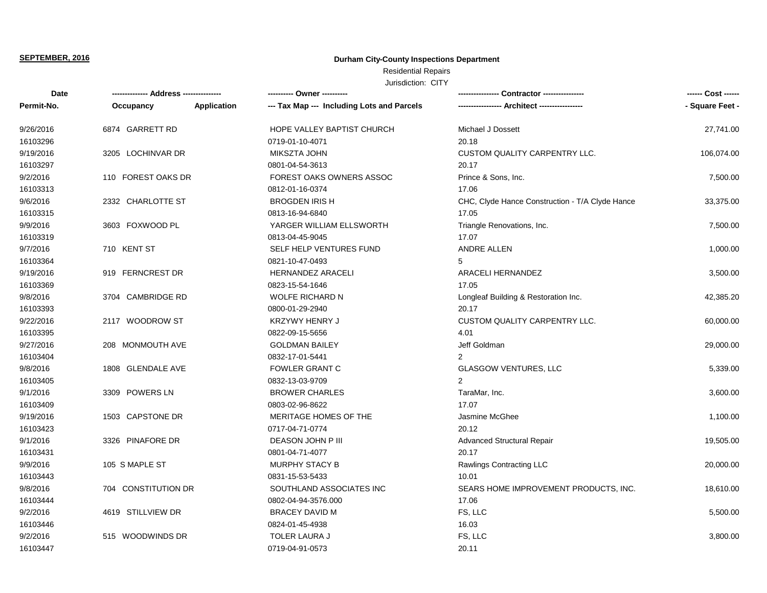# **Durham City-County Inspections Department**

# Residential Repairs

| Date       |                     |             | ---------- Owner ----------                |                                                 | ------ Cost ------ |
|------------|---------------------|-------------|--------------------------------------------|-------------------------------------------------|--------------------|
| Permit-No. | Occupancy           | Application | --- Tax Map --- Including Lots and Parcels | --- Architect -----------------                 | - Square Feet -    |
| 9/26/2016  | 6874 GARRETT RD     |             | HOPE VALLEY BAPTIST CHURCH                 | Michael J Dossett                               | 27,741.00          |
| 16103296   |                     |             | 0719-01-10-4071                            | 20.18                                           |                    |
| 9/19/2016  | 3205 LOCHINVAR DR   |             | MIKSZTA JOHN                               | CUSTOM QUALITY CARPENTRY LLC.                   | 106,074.00         |
| 16103297   |                     |             | 0801-04-54-3613                            | 20.17                                           |                    |
| 9/2/2016   | 110 FOREST OAKS DR  |             | FOREST OAKS OWNERS ASSOC                   | Prince & Sons, Inc.                             | 7,500.00           |
| 16103313   |                     |             | 0812-01-16-0374                            | 17.06                                           |                    |
| 9/6/2016   | 2332 CHARLOTTE ST   |             | <b>BROGDEN IRIS H</b>                      | CHC, Clyde Hance Construction - T/A Clyde Hance | 33,375.00          |
| 16103315   |                     |             | 0813-16-94-6840                            | 17.05                                           |                    |
| 9/9/2016   | 3603 FOXWOOD PL     |             | YARGER WILLIAM ELLSWORTH                   | Triangle Renovations, Inc.                      | 7,500.00           |
| 16103319   |                     |             | 0813-04-45-9045                            | 17.07                                           |                    |
| 9/7/2016   | 710 KENT ST         |             | SELF HELP VENTURES FUND                    | ANDRE ALLEN                                     | 1,000.00           |
| 16103364   |                     |             | 0821-10-47-0493                            | 5                                               |                    |
| 9/19/2016  | 919 FERNCREST DR    |             | <b>HERNANDEZ ARACELI</b>                   | ARACELI HERNANDEZ                               | 3,500.00           |
| 16103369   |                     |             | 0823-15-54-1646                            | 17.05                                           |                    |
| 9/8/2016   | 3704 CAMBRIDGE RD   |             | <b>WOLFE RICHARD N</b>                     | Longleaf Building & Restoration Inc.            | 42,385.20          |
| 16103393   |                     |             | 0800-01-29-2940                            | 20.17                                           |                    |
| 9/22/2016  | 2117 WOODROW ST     |             | <b>KRZYWY HENRY J</b>                      | <b>CUSTOM QUALITY CARPENTRY LLC.</b>            | 60,000.00          |
| 16103395   |                     |             | 0822-09-15-5656                            | 4.01                                            |                    |
| 9/27/2016  | 208 MONMOUTH AVE    |             | <b>GOLDMAN BAILEY</b>                      | Jeff Goldman                                    | 29,000.00          |
| 16103404   |                     |             | 0832-17-01-5441                            | $\mathfrak{p}$                                  |                    |
| 9/8/2016   | 1808 GLENDALE AVE   |             | FOWLER GRANT C                             | <b>GLASGOW VENTURES, LLC</b>                    | 5,339.00           |
| 16103405   |                     |             | 0832-13-03-9709                            | 2                                               |                    |
| 9/1/2016   | 3309 POWERS LN      |             | <b>BROWER CHARLES</b>                      | TaraMar, Inc.                                   | 3,600.00           |
| 16103409   |                     |             | 0803-02-96-8622                            | 17.07                                           |                    |
| 9/19/2016  | 1503 CAPSTONE DR    |             | MERITAGE HOMES OF THE                      | Jasmine McGhee                                  | 1,100.00           |
| 16103423   |                     |             | 0717-04-71-0774                            | 20.12                                           |                    |
| 9/1/2016   | 3326 PINAFORE DR    |             | DEASON JOHN P III                          | <b>Advanced Structural Repair</b>               | 19,505.00          |
| 16103431   |                     |             | 0801-04-71-4077                            | 20.17                                           |                    |
| 9/9/2016   | 105 S MAPLE ST      |             | <b>MURPHY STACY B</b>                      | Rawlings Contracting LLC                        | 20,000.00          |
| 16103443   |                     |             | 0831-15-53-5433                            | 10.01                                           |                    |
| 9/8/2016   | 704 CONSTITUTION DR |             | SOUTHLAND ASSOCIATES INC                   | SEARS HOME IMPROVEMENT PRODUCTS, INC.           | 18,610.00          |
| 16103444   |                     |             | 0802-04-94-3576.000                        | 17.06                                           |                    |
| 9/2/2016   | 4619 STILLVIEW DR   |             | <b>BRACEY DAVID M</b>                      | FS, LLC                                         | 5,500.00           |
| 16103446   |                     |             | 0824-01-45-4938                            | 16.03                                           |                    |
| 9/2/2016   | 515 WOODWINDS DR    |             | <b>TOLER LAURA J</b>                       | FS, LLC                                         | 3,800.00           |
| 16103447   |                     |             | 0719-04-91-0573                            | 20.11                                           |                    |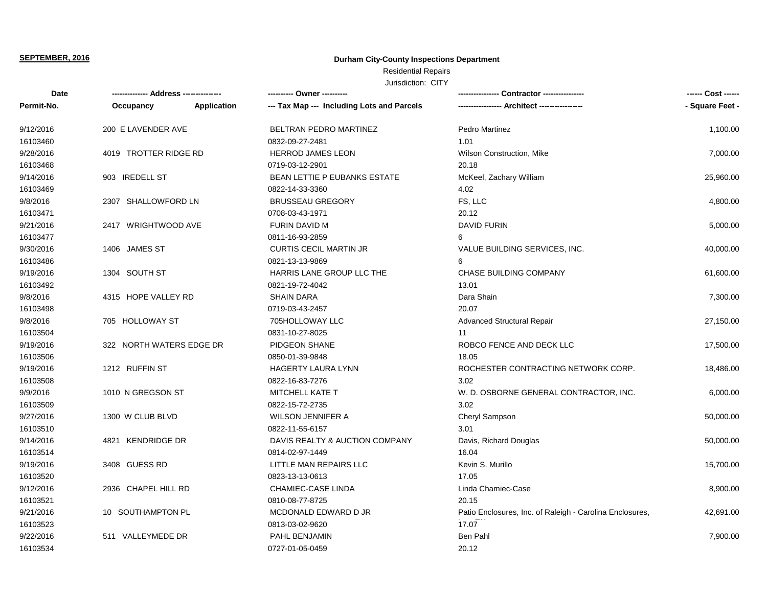# **Durham City-County Inspections Department**

# Residential Repairs

| Date       |                          |                    | ---------- Owner ----------                |                                                          | ------ Cost ------ |
|------------|--------------------------|--------------------|--------------------------------------------|----------------------------------------------------------|--------------------|
| Permit-No. | Occupancy                | <b>Application</b> | --- Tax Map --- Including Lots and Parcels |                                                          | - Square Feet -    |
| 9/12/2016  | 200 E LAVENDER AVE       |                    | BELTRAN PEDRO MARTINEZ                     | <b>Pedro Martinez</b>                                    | 1,100.00           |
| 16103460   |                          |                    | 0832-09-27-2481                            | 1.01                                                     |                    |
| 9/28/2016  | 4019 TROTTER RIDGE RD    |                    | HERROD JAMES LEON                          | <b>Wilson Construction, Mike</b>                         | 7,000.00           |
| 16103468   |                          |                    | 0719-03-12-2901                            | 20.18                                                    |                    |
| 9/14/2016  | 903 IREDELL ST           |                    | <b>BEAN LETTIE P EUBANKS ESTATE</b>        | McKeel, Zachary William                                  | 25,960.00          |
| 16103469   |                          |                    | 0822-14-33-3360                            | 4.02                                                     |                    |
| 9/8/2016   | 2307 SHALLOWFORD LN      |                    | <b>BRUSSEAU GREGORY</b>                    | FS, LLC                                                  | 4,800.00           |
| 16103471   |                          |                    | 0708-03-43-1971                            | 20.12                                                    |                    |
| 9/21/2016  | 2417 WRIGHTWOOD AVE      |                    | FURIN DAVID M                              | <b>DAVID FURIN</b>                                       | 5,000.00           |
| 16103477   |                          |                    | 0811-16-93-2859                            | 6                                                        |                    |
| 9/30/2016  | 1406 JAMES ST            |                    | <b>CURTIS CECIL MARTIN JR</b>              | VALUE BUILDING SERVICES, INC.                            | 40,000.00          |
| 16103486   |                          |                    | 0821-13-13-9869                            | 6                                                        |                    |
| 9/19/2016  | 1304 SOUTH ST            |                    | HARRIS LANE GROUP LLC THE                  | CHASE BUILDING COMPANY                                   | 61,600.00          |
| 16103492   |                          |                    | 0821-19-72-4042                            | 13.01                                                    |                    |
| 9/8/2016   | 4315 HOPE VALLEY RD      |                    | <b>SHAIN DARA</b>                          | Dara Shain                                               | 7,300.00           |
| 16103498   |                          |                    | 0719-03-43-2457                            | 20.07                                                    |                    |
| 9/8/2016   | 705 HOLLOWAY ST          |                    | 705HOLLOWAY LLC                            | <b>Advanced Structural Repair</b>                        | 27,150.00          |
| 16103504   |                          |                    | 0831-10-27-8025                            | 11                                                       |                    |
| 9/19/2016  | 322 NORTH WATERS EDGE DR |                    | PIDGEON SHANE                              | ROBCO FENCE AND DECK LLC                                 | 17,500.00          |
| 16103506   |                          |                    | 0850-01-39-9848                            | 18.05                                                    |                    |
| 9/19/2016  | 1212 RUFFIN ST           |                    | HAGERTY LAURA LYNN                         | ROCHESTER CONTRACTING NETWORK CORP.                      | 18,486.00          |
| 16103508   |                          |                    | 0822-16-83-7276                            | 3.02                                                     |                    |
| 9/9/2016   | 1010 N GREGSON ST        |                    | <b>MITCHELL KATE T</b>                     | W. D. OSBORNE GENERAL CONTRACTOR, INC.                   | 6,000.00           |
| 16103509   |                          |                    | 0822-15-72-2735                            | 3.02                                                     |                    |
| 9/27/2016  | 1300 W CLUB BLVD         |                    | <b>WILSON JENNIFER A</b>                   | Cheryl Sampson                                           | 50,000.00          |
| 16103510   |                          |                    | 0822-11-55-6157                            | 3.01                                                     |                    |
| 9/14/2016  | 4821 KENDRIDGE DR        |                    | DAVIS REALTY & AUCTION COMPANY             | Davis, Richard Douglas                                   | 50,000.00          |
| 16103514   |                          |                    | 0814-02-97-1449                            | 16.04                                                    |                    |
| 9/19/2016  | 3408 GUESS RD            |                    | LITTLE MAN REPAIRS LLC                     | Kevin S. Murillo                                         | 15,700.00          |
| 16103520   |                          |                    | 0823-13-13-0613                            | 17.05                                                    |                    |
| 9/12/2016  | 2936 CHAPEL HILL RD      |                    | CHAMIEC-CASE LINDA                         | Linda Chamiec-Case                                       | 8,900.00           |
| 16103521   |                          |                    | 0810-08-77-8725                            | 20.15                                                    |                    |
| 9/21/2016  | 10 SOUTHAMPTON PL        |                    | MCDONALD EDWARD D JR                       | Patio Enclosures, Inc. of Raleigh - Carolina Enclosures, | 42,691.00          |
| 16103523   |                          |                    | 0813-03-02-9620                            | 17.07                                                    |                    |
| 9/22/2016  | 511 VALLEYMEDE DR        |                    | PAHL BENJAMIN                              | Ben Pahl                                                 | 7,900.00           |
| 16103534   |                          |                    | 0727-01-05-0459                            | 20.12                                                    |                    |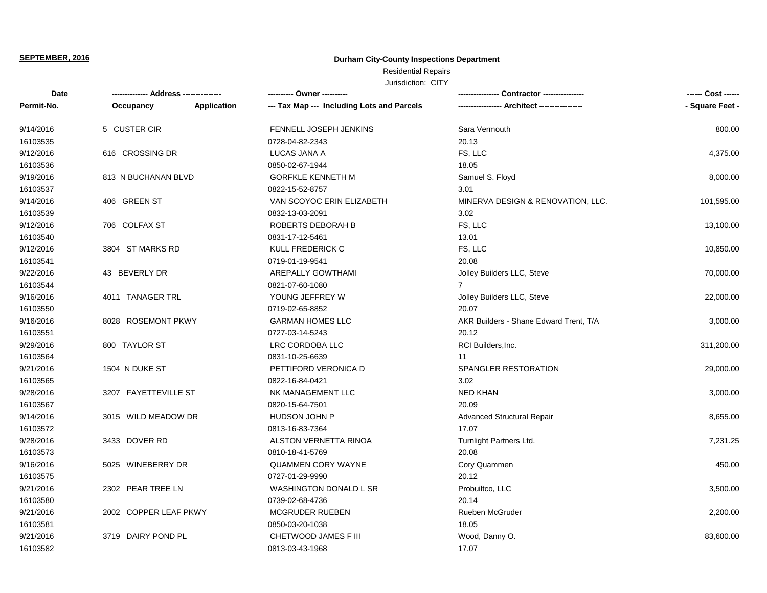# **Durham City-County Inspections Department**

# Residential Repairs

| Date       | -------------- Address --------------- |                    | ---------- Owner ----------                |                                        | ------ Cost ------ |
|------------|----------------------------------------|--------------------|--------------------------------------------|----------------------------------------|--------------------|
| Permit-No. | Occupancy                              | <b>Application</b> | --- Tax Map --- Including Lots and Parcels | -- Architect ------------              | - Square Feet -    |
| 9/14/2016  | 5 CUSTER CIR                           |                    | FENNELL JOSEPH JENKINS                     | Sara Vermouth                          | 800.00             |
| 16103535   |                                        |                    | 0728-04-82-2343                            | 20.13                                  |                    |
| 9/12/2016  | 616 CROSSING DR                        |                    | LUCAS JANA A                               | FS, LLC                                | 4,375.00           |
| 16103536   |                                        |                    | 0850-02-67-1944                            | 18.05                                  |                    |
| 9/19/2016  | 813 N BUCHANAN BLVD                    |                    | <b>GORFKLE KENNETH M</b>                   | Samuel S. Floyd                        | 8,000.00           |
| 16103537   |                                        |                    | 0822-15-52-8757                            | 3.01                                   |                    |
| 9/14/2016  | 406 GREEN ST                           |                    | VAN SCOYOC ERIN ELIZABETH                  | MINERVA DESIGN & RENOVATION, LLC.      | 101,595.00         |
| 16103539   |                                        |                    | 0832-13-03-2091                            | 3.02                                   |                    |
| 9/12/2016  | 706 COLFAX ST                          |                    | ROBERTS DEBORAH B                          | FS, LLC                                | 13,100.00          |
| 16103540   |                                        |                    | 0831-17-12-5461                            | 13.01                                  |                    |
| 9/12/2016  | 3804 ST MARKS RD                       |                    | KULL FREDERICK C                           | FS, LLC                                | 10,850.00          |
| 16103541   |                                        |                    | 0719-01-19-9541                            | 20.08                                  |                    |
| 9/22/2016  | 43 BEVERLY DR                          |                    | AREPALLY GOWTHAMI                          | Jolley Builders LLC, Steve             | 70,000.00          |
| 16103544   |                                        |                    | 0821-07-60-1080                            |                                        |                    |
| 9/16/2016  | 4011 TANAGER TRL                       |                    | YOUNG JEFFREY W                            | Jolley Builders LLC, Steve             | 22,000.00          |
| 16103550   |                                        |                    | 0719-02-65-8852                            | 20.07                                  |                    |
| 9/16/2016  | 8028 ROSEMONT PKWY                     |                    | <b>GARMAN HOMES LLC</b>                    | AKR Builders - Shane Edward Trent, T/A | 3,000.00           |
| 16103551   |                                        |                    | 0727-03-14-5243                            | 20.12                                  |                    |
| 9/29/2016  | 800 TAYLOR ST                          |                    | LRC CORDOBA LLC                            | RCI Builders, Inc.                     | 311,200.00         |
| 16103564   |                                        |                    | 0831-10-25-6639                            | 11                                     |                    |
| 9/21/2016  | 1504 N DUKE ST                         |                    | PETTIFORD VERONICA D                       | SPANGLER RESTORATION                   | 29,000.00          |
| 16103565   |                                        |                    | 0822-16-84-0421                            | 3.02                                   |                    |
| 9/28/2016  | 3207 FAYETTEVILLE ST                   |                    | NK MANAGEMENT LLC                          | <b>NED KHAN</b>                        | 3,000.00           |
| 16103567   |                                        |                    | 0820-15-64-7501                            | 20.09                                  |                    |
| 9/14/2016  | 3015 WILD MEADOW DR                    |                    | HUDSON JOHN P                              | Advanced Structural Repair             | 8,655.00           |
| 16103572   |                                        |                    | 0813-16-83-7364                            | 17.07                                  |                    |
| 9/28/2016  | 3433 DOVER RD                          |                    | ALSTON VERNETTA RINOA                      | Turnlight Partners Ltd.                | 7,231.25           |
| 16103573   |                                        |                    | 0810-18-41-5769                            | 20.08                                  |                    |
| 9/16/2016  | 5025 WINEBERRY DR                      |                    | <b>QUAMMEN CORY WAYNE</b>                  | Cory Quammen                           | 450.00             |
| 16103575   |                                        |                    | 0727-01-29-9990                            | 20.12                                  |                    |
| 9/21/2016  | 2302 PEAR TREE LN                      |                    | WASHINGTON DONALD L SR                     | Probuiltco, LLC                        | 3,500.00           |
| 16103580   |                                        |                    | 0739-02-68-4736                            | 20.14                                  |                    |
| 9/21/2016  | 2002 COPPER LEAF PKWY                  |                    | <b>MCGRUDER RUEBEN</b>                     | Rueben McGruder                        | 2,200.00           |
| 16103581   |                                        |                    | 0850-03-20-1038                            | 18.05                                  |                    |
| 9/21/2016  | 3719 DAIRY POND PL                     |                    | CHETWOOD JAMES F III                       | Wood, Danny O.                         | 83,600.00          |
| 16103582   |                                        |                    | 0813-03-43-1968                            | 17.07                                  |                    |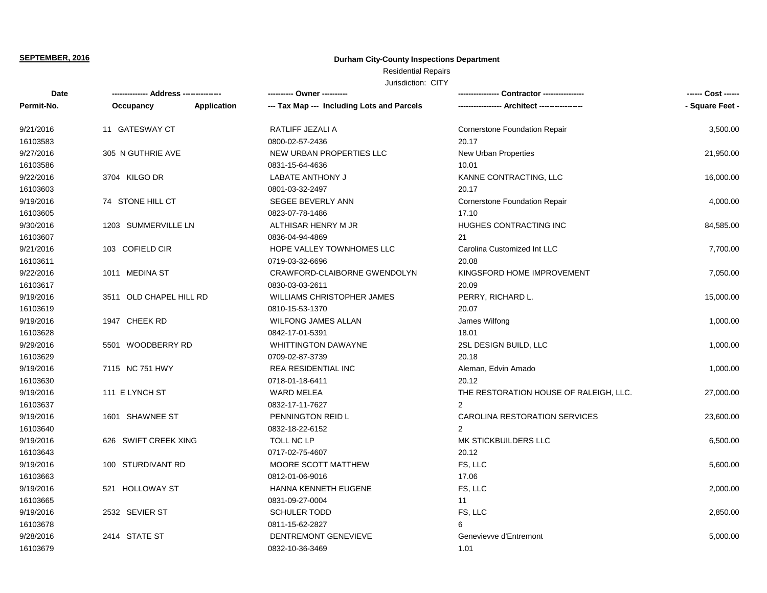# **Durham City-County Inspections Department**

# Residential Repairs

| Date       | ------------- Address --------------- |                    | ---------- Owner ----------                |                                        | ------ Cost ------ |
|------------|---------------------------------------|--------------------|--------------------------------------------|----------------------------------------|--------------------|
| Permit-No. | Occupancy                             | <b>Application</b> | --- Tax Map --- Including Lots and Parcels |                                        | - Square Feet -    |
| 9/21/2016  | 11 GATESWAY CT                        |                    | RATLIFF JEZALI A                           | Cornerstone Foundation Repair          | 3,500.00           |
| 16103583   |                                       |                    | 0800-02-57-2436                            | 20.17                                  |                    |
| 9/27/2016  | 305 N GUTHRIE AVE                     |                    | NEW URBAN PROPERTIES LLC                   | New Urban Properties                   | 21,950.00          |
| 16103586   |                                       |                    | 0831-15-64-4636                            | 10.01                                  |                    |
| 9/22/2016  | 3704 KILGO DR                         |                    | <b>LABATE ANTHONY J</b>                    | KANNE CONTRACTING, LLC                 | 16,000.00          |
| 16103603   |                                       |                    | 0801-03-32-2497                            | 20.17                                  |                    |
| 9/19/2016  | 74 STONE HILL CT                      |                    | SEGEE BEVERLY ANN                          | <b>Cornerstone Foundation Repair</b>   | 4,000.00           |
| 16103605   |                                       |                    | 0823-07-78-1486                            | 17.10                                  |                    |
| 9/30/2016  | 1203 SUMMERVILLE LN                   |                    | ALTHISAR HENRY M JR                        | HUGHES CONTRACTING INC                 | 84,585.00          |
| 16103607   |                                       |                    | 0836-04-94-4869                            | 21                                     |                    |
| 9/21/2016  | 103 COFIELD CIR                       |                    | HOPE VALLEY TOWNHOMES LLC                  | Carolina Customized Int LLC            | 7,700.00           |
| 16103611   |                                       |                    | 0719-03-32-6696                            | 20.08                                  |                    |
| 9/22/2016  | 1011 MEDINA ST                        |                    | CRAWFORD-CLAIBORNE GWENDOLYN               | KINGSFORD HOME IMPROVEMENT             | 7,050.00           |
| 16103617   |                                       |                    | 0830-03-03-2611                            | 20.09                                  |                    |
| 9/19/2016  | 3511 OLD CHAPEL HILL RD               |                    | WILLIAMS CHRISTOPHER JAMES                 | PERRY, RICHARD L.                      | 15,000.00          |
| 16103619   |                                       |                    | 0810-15-53-1370                            | 20.07                                  |                    |
| 9/19/2016  | 1947 CHEEK RD                         |                    | <b>WILFONG JAMES ALLAN</b>                 | James Wilfong                          | 1,000.00           |
| 16103628   |                                       |                    | 0842-17-01-5391                            | 18.01                                  |                    |
| 9/29/2016  | 5501 WOODBERRY RD                     |                    | <b>WHITTINGTON DAWAYNE</b>                 | 2SL DESIGN BUILD, LLC                  | 1,000.00           |
| 16103629   |                                       |                    | 0709-02-87-3739                            | 20.18                                  |                    |
| 9/19/2016  | 7115 NC 751 HWY                       |                    | <b>REA RESIDENTIAL INC</b>                 | Aleman, Edvin Amado                    | 1,000.00           |
| 16103630   |                                       |                    | 0718-01-18-6411                            | 20.12                                  |                    |
| 9/19/2016  | 111 E LYNCH ST                        |                    | <b>WARD MELEA</b>                          | THE RESTORATION HOUSE OF RALEIGH, LLC. | 27,000.00          |
| 16103637   |                                       |                    | 0832-17-11-7627                            | $\mathfrak{p}$                         |                    |
| 9/19/2016  | 1601 SHAWNEE ST                       |                    | PENNINGTON REID L                          | CAROLINA RESTORATION SERVICES          | 23,600.00          |
| 16103640   |                                       |                    | 0832-18-22-6152                            | $\overline{2}$                         |                    |
| 9/19/2016  | 626 SWIFT CREEK XING                  |                    | TOLL NC LP                                 | MK STICKBUILDERS LLC                   | 6,500.00           |
| 16103643   |                                       |                    | 0717-02-75-4607                            | 20.12                                  |                    |
| 9/19/2016  | 100 STURDIVANT RD                     |                    | MOORE SCOTT MATTHEW                        | FS, LLC                                | 5,600.00           |
| 16103663   |                                       |                    | 0812-01-06-9016                            | 17.06                                  |                    |
| 9/19/2016  | 521 HOLLOWAY ST                       |                    | HANNA KENNETH EUGENE                       | FS, LLC                                | 2,000.00           |
| 16103665   |                                       |                    | 0831-09-27-0004                            | 11                                     |                    |
| 9/19/2016  | 2532 SEVIER ST                        |                    | <b>SCHULER TODD</b>                        | FS, LLC                                | 2,850.00           |
| 16103678   |                                       |                    | 0811-15-62-2827                            | 6                                      |                    |
| 9/28/2016  | 2414 STATE ST                         |                    | DENTREMONT GENEVIEVE                       | Genevievve d'Entremont                 | 5,000.00           |
| 16103679   |                                       |                    | 0832-10-36-3469                            | 1.01                                   |                    |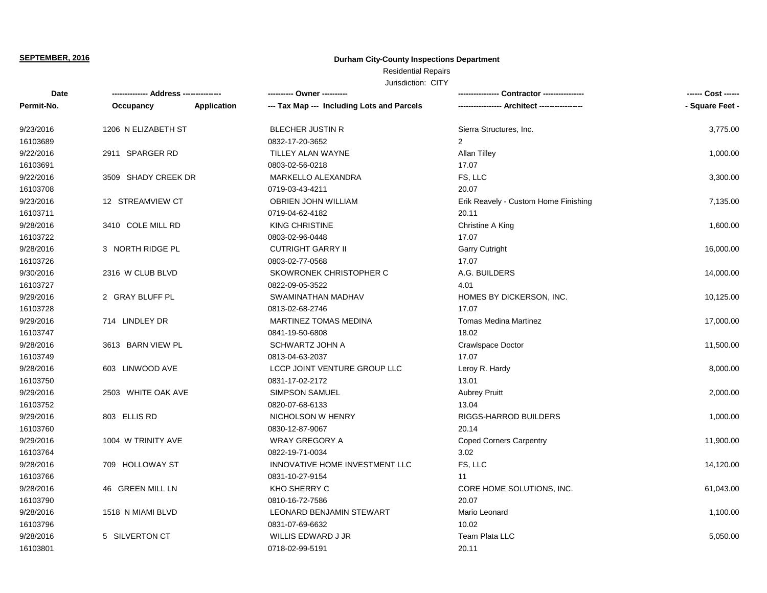# **Durham City-County Inspections Department**

# Residential Repairs

| Date       |                     |                    | ---------- Owner ----------                | Contractor ---------------           | ------ Cost ------ |
|------------|---------------------|--------------------|--------------------------------------------|--------------------------------------|--------------------|
| Permit-No. | Occupancy           | <b>Application</b> | --- Tax Map --- Including Lots and Parcels |                                      | - Square Feet -    |
| 9/23/2016  | 1206 N ELIZABETH ST |                    | <b>BLECHER JUSTIN R</b>                    | Sierra Structures, Inc.              | 3,775.00           |
| 16103689   |                     |                    | 0832-17-20-3652                            | 2                                    |                    |
| 9/22/2016  | 2911 SPARGER RD     |                    | TILLEY ALAN WAYNE                          | <b>Allan Tilley</b>                  | 1,000.00           |
| 16103691   |                     |                    | 0803-02-56-0218                            | 17.07                                |                    |
| 9/22/2016  | 3509 SHADY CREEK DR |                    | MARKELLO ALEXANDRA                         | FS, LLC                              | 3,300.00           |
| 16103708   |                     |                    | 0719-03-43-4211                            | 20.07                                |                    |
| 9/23/2016  | 12 STREAMVIEW CT    |                    | OBRIEN JOHN WILLIAM                        | Erik Reavely - Custom Home Finishing | 7,135.00           |
| 16103711   |                     |                    | 0719-04-62-4182                            | 20.11                                |                    |
| 9/28/2016  | 3410 COLE MILL RD   |                    | <b>KING CHRISTINE</b>                      | Christine A King                     | 1,600.00           |
| 16103722   |                     |                    | 0803-02-96-0448                            | 17.07                                |                    |
| 9/28/2016  | 3 NORTH RIDGE PL    |                    | <b>CUTRIGHT GARRY II</b>                   | <b>Garry Cutright</b>                | 16,000.00          |
| 16103726   |                     |                    | 0803-02-77-0568                            | 17.07                                |                    |
| 9/30/2016  | 2316 W CLUB BLVD    |                    | SKOWRONEK CHRISTOPHER C                    | A.G. BUILDERS                        | 14,000.00          |
| 16103727   |                     |                    | 0822-09-05-3522                            | 4.01                                 |                    |
| 9/29/2016  | 2 GRAY BLUFF PL     |                    | SWAMINATHAN MADHAV                         | HOMES BY DICKERSON, INC.             | 10,125.00          |
| 16103728   |                     |                    | 0813-02-68-2746                            | 17.07                                |                    |
| 9/29/2016  | 714 LINDLEY DR      |                    | <b>MARTINEZ TOMAS MEDINA</b>               | <b>Tomas Medina Martinez</b>         | 17,000.00          |
| 16103747   |                     |                    | 0841-19-50-6808                            | 18.02                                |                    |
| 9/28/2016  | 3613 BARN VIEW PL   |                    | SCHWARTZ JOHN A                            | <b>Crawlspace Doctor</b>             | 11,500.00          |
| 16103749   |                     |                    | 0813-04-63-2037                            | 17.07                                |                    |
| 9/28/2016  | 603 LINWOOD AVE     |                    | LCCP JOINT VENTURE GROUP LLC               | Leroy R. Hardy                       | 8,000.00           |
| 16103750   |                     |                    | 0831-17-02-2172                            | 13.01                                |                    |
| 9/29/2016  | 2503 WHITE OAK AVE  |                    | SIMPSON SAMUEL                             | <b>Aubrey Pruitt</b>                 | 2,000.00           |
| 16103752   |                     |                    | 0820-07-68-6133                            | 13.04                                |                    |
| 9/29/2016  | 803 ELLIS RD        |                    | NICHOLSON W HENRY                          | RIGGS-HARROD BUILDERS                | 1,000.00           |
| 16103760   |                     |                    | 0830-12-87-9067                            | 20.14                                |                    |
| 9/29/2016  | 1004 W TRINITY AVE  |                    | <b>WRAY GREGORY A</b>                      | <b>Coped Corners Carpentry</b>       | 11,900.00          |
| 16103764   |                     |                    | 0822-19-71-0034                            | 3.02                                 |                    |
| 9/28/2016  | 709 HOLLOWAY ST     |                    | INNOVATIVE HOME INVESTMENT LLC             | FS, LLC                              | 14,120.00          |
| 16103766   |                     |                    | 0831-10-27-9154                            | 11                                   |                    |
| 9/28/2016  | 46 GREEN MILL LN    |                    | KHO SHERRY C                               | CORE HOME SOLUTIONS, INC.            | 61,043.00          |
| 16103790   |                     |                    | 0810-16-72-7586                            | 20.07                                |                    |
| 9/28/2016  | 1518 N MIAMI BLVD   |                    | LEONARD BENJAMIN STEWART                   | Mario Leonard                        | 1,100.00           |
| 16103796   |                     |                    | 0831-07-69-6632                            | 10.02                                |                    |
| 9/28/2016  | 5 SILVERTON CT      |                    | <b>WILLIS EDWARD J JR</b>                  | Team Plata LLC                       | 5,050.00           |
| 16103801   |                     |                    | 0718-02-99-5191                            | 20.11                                |                    |